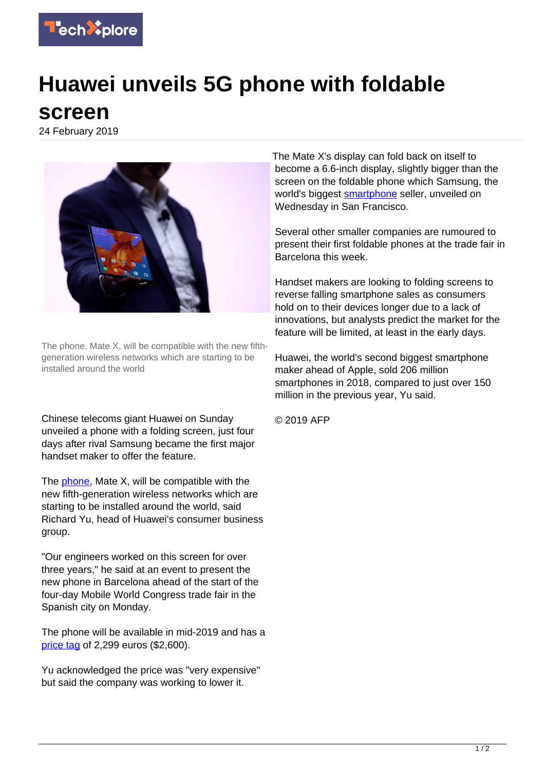

## **Huawei unveils 5G phone with foldable screen**

24 February 2019



The phone, Mate X, will be compatible with the new fifthgeneration wireless networks which are starting to be installed around the world

Chinese telecoms giant Huawei on Sunday unveiled a phone with a folding screen, just four days after rival Samsung became the first major handset maker to offer the feature.

The [phone,](https://techxplore.com/tags/phone/) Mate X, will be compatible with the new fifth-generation wireless networks which are starting to be installed around the world, said Richard Yu, head of Huawei's consumer business group.

"Our engineers worked on this screen for over three years," he said at an event to present the new phone in Barcelona ahead of the start of the four-day Mobile World Congress trade fair in the Spanish city on Monday.

The phone will be available in mid-2019 and has a [price tag](https://techxplore.com/tags/price+tag/) of 2,299 euros (\$2,600).

Yu acknowledged the price was "very expensive" but said the company was working to lower it.

The Mate X's display can fold back on itself to become a 6.6-inch display, slightly bigger than the screen on the foldable phone which Samsung, the world's biggest [smartphone](https://techxplore.com/tags/smartphone/) seller, unveiled on Wednesday in San Francisco.

Several other smaller companies are rumoured to present their first foldable phones at the trade fair in Barcelona this week.

Handset makers are looking to folding screens to reverse falling smartphone sales as consumers hold on to their devices longer due to a lack of innovations, but analysts predict the market for the feature will be limited, at least in the early days.

Huawei, the world's second biggest smartphone maker ahead of Apple, sold 206 million smartphones in 2018, compared to just over 150 million in the previous year, Yu said.

© 2019 AFP